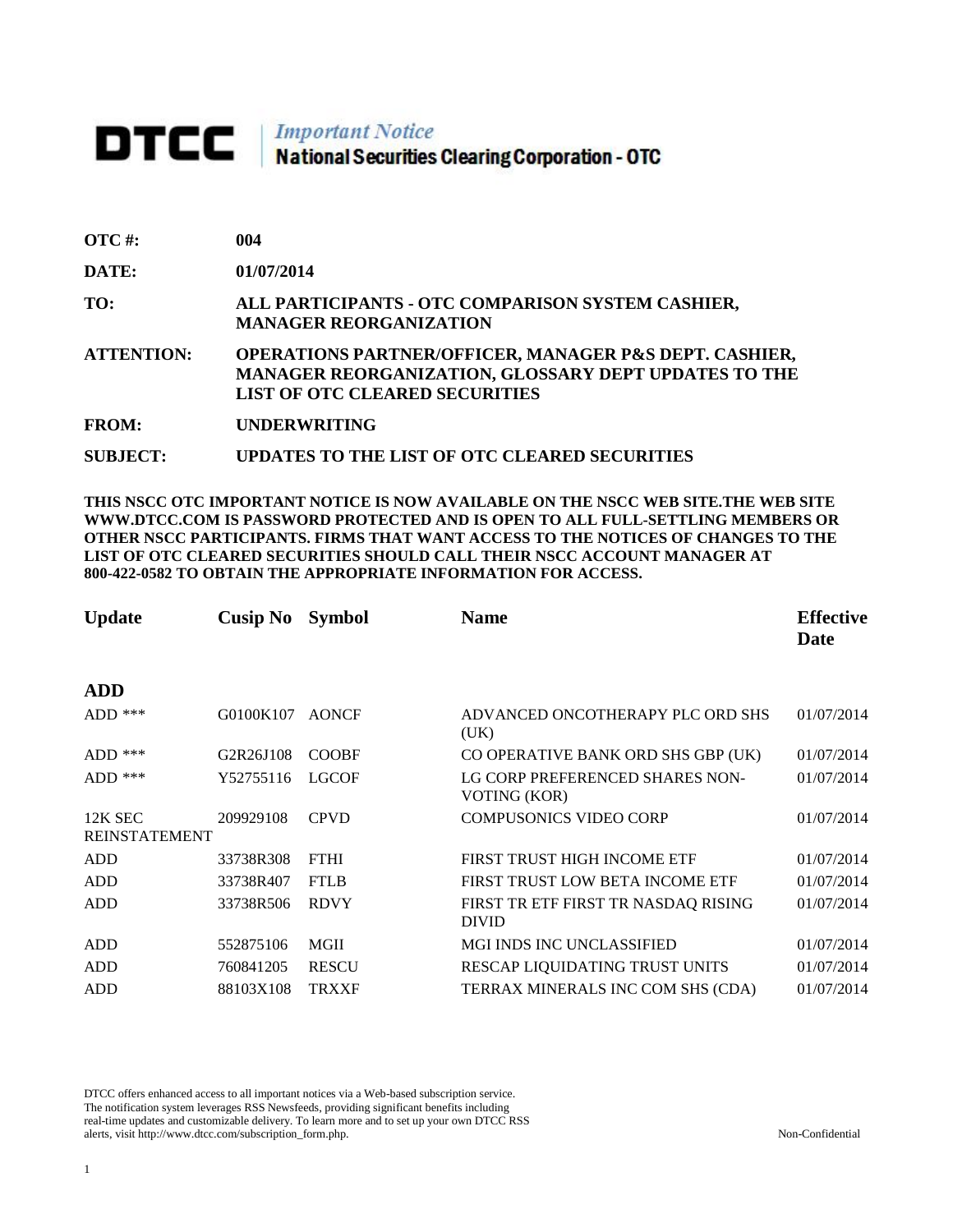## **DTCC** National Securities Clearing Corporation - OTC

| $\overline{OTC}$ #: | 004                                                                                                                                                                       |
|---------------------|---------------------------------------------------------------------------------------------------------------------------------------------------------------------------|
| DATE:               | 01/07/2014                                                                                                                                                                |
| TO:                 | ALL PARTICIPANTS - OTC COMPARISON SYSTEM CASHIER,<br><b>MANAGER REORGANIZATION</b>                                                                                        |
| <b>ATTENTION:</b>   | <b>OPERATIONS PARTNER/OFFICER, MANAGER P&amp;S DEPT. CASHIER,</b><br><b>MANAGER REORGANIZATION, GLOSSARY DEPT UPDATES TO THE</b><br><b>LIST OF OTC CLEARED SECURITIES</b> |
| <b>FROM:</b>        | <b>UNDERWRITING</b>                                                                                                                                                       |
| <b>SUBJECT:</b>     | UPDATES TO THE LIST OF OTC CLEARED SECURITIES                                                                                                                             |

**THIS NSCC OTC IMPORTANT NOTICE IS NOW AVAILABLE ON THE NSCC WEB SITE.THE WEB SITE WWW.DTCC.COM IS PASSWORD PROTECTED AND IS OPEN TO ALL FULL-SETTLING MEMBERS OR OTHER NSCC PARTICIPANTS. FIRMS THAT WANT ACCESS TO THE NOTICES OF CHANGES TO THE LIST OF OTC CLEARED SECURITIES SHOULD CALL THEIR NSCC ACCOUNT MANAGER AT 800-422-0582 TO OBTAIN THE APPROPRIATE INFORMATION FOR ACCESS.** 

| <b>Update</b>        | Cusip No  | <b>Symbol</b> | <b>Name</b>                                         | <b>Effective</b><br>Date |
|----------------------|-----------|---------------|-----------------------------------------------------|--------------------------|
|                      |           |               |                                                     |                          |
| <b>ADD</b>           |           |               |                                                     |                          |
| $ADD$ ***            | G0100K107 | <b>AONCF</b>  | ADVANCED ONCOTHERAPY PLC ORD SHS<br>(UK)            | 01/07/2014               |
| $ADD$ ***            | G2R26J108 | <b>COOBF</b>  | CO OPERATIVE BANK ORD SHS GBP (UK)                  | 01/07/2014               |
| $ADD$ ***            | Y52755116 | <b>LGCOF</b>  | LG CORP PREFERENCED SHARES NON-<br>VOTING (KOR)     | 01/07/2014               |
| 12K SEC              | 209929108 | <b>CPVD</b>   | <b>COMPUSONICS VIDEO CORP</b>                       | 01/07/2014               |
| <b>REINSTATEMENT</b> |           |               |                                                     |                          |
| <b>ADD</b>           | 33738R308 | <b>FTHI</b>   | FIRST TRUST HIGH INCOME ETF                         | 01/07/2014               |
| <b>ADD</b>           | 33738R407 | <b>FTLB</b>   | FIRST TRUST LOW BETA INCOME ETF                     | 01/07/2014               |
| <b>ADD</b>           | 33738R506 | <b>RDVY</b>   | FIRST TR ETF FIRST TR NASDAQ RISING<br><b>DIVID</b> | 01/07/2014               |
| <b>ADD</b>           | 552875106 | MGII          | <b>MGI INDS INC UNCLASSIFIED</b>                    | 01/07/2014               |
| <b>ADD</b>           | 760841205 | <b>RESCU</b>  | RESCAP LIQUIDATING TRUST UNITS                      | 01/07/2014               |
| <b>ADD</b>           | 88103X108 | <b>TRXXF</b>  | TERRAX MINERALS INC COM SHS (CDA)                   | 01/07/2014               |

DTCC offers enhanced access to all important notices via a Web-based subscription service. The notification system leverages RSS Newsfeeds, providing significant benefits including real-time updates and customizable delivery. To learn more and to set up your own DTCC RSS alerts, visit http://www.dtcc.com/subscription\_form.php. Non-Confidential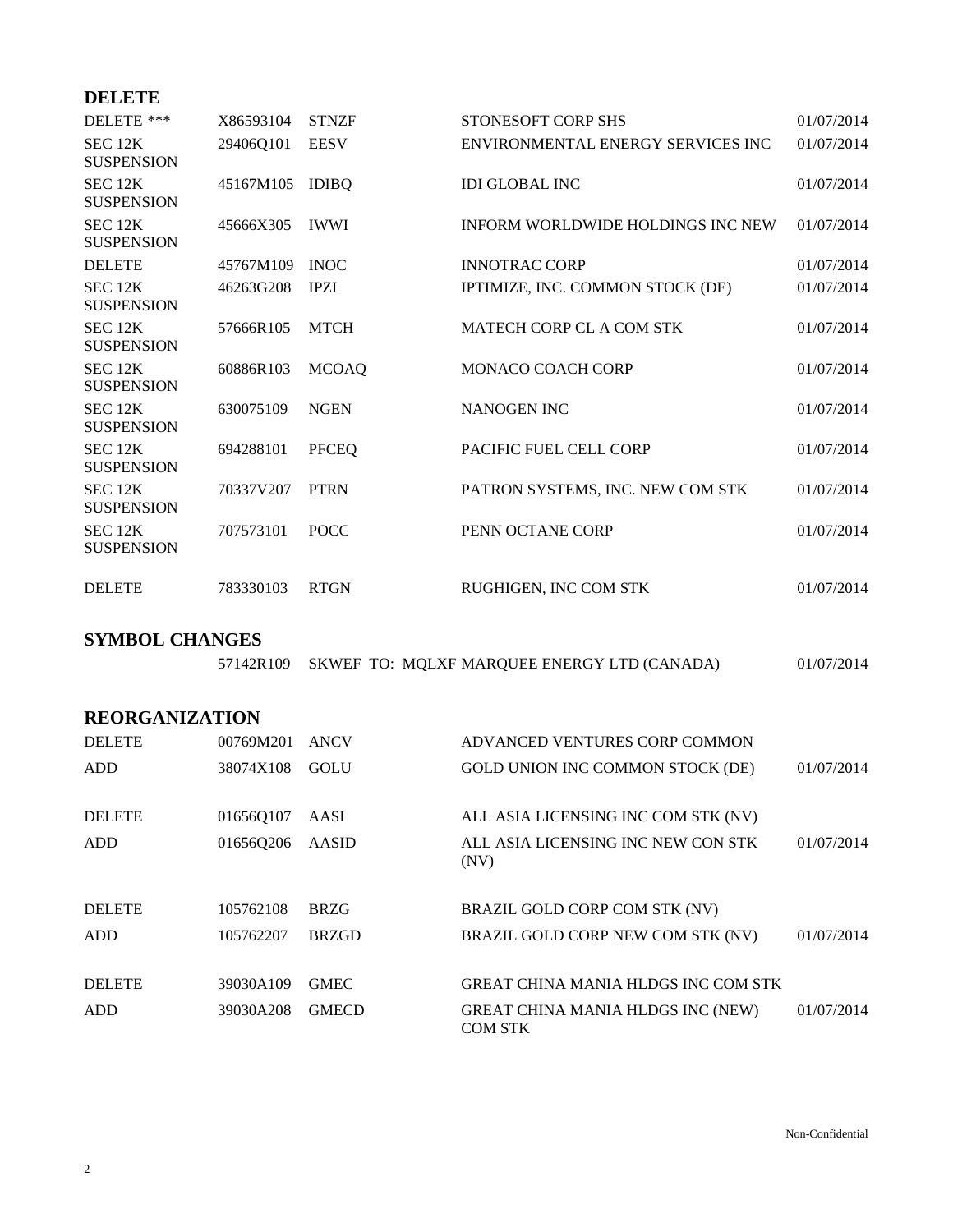## **DELETE**

| DELETE ***                              | X86593104 | <b>STNZF</b> | STONESOFT CORP SHS                | 01/07/2014 |
|-----------------------------------------|-----------|--------------|-----------------------------------|------------|
| SEC 12K<br><b>SUSPENSION</b>            | 29406Q101 | <b>EESV</b>  | ENVIRONMENTAL ENERGY SERVICES INC | 01/07/2014 |
| SEC 12K<br><b>SUSPENSION</b>            | 45167M105 | <b>IDIBQ</b> | <b>IDI GLOBAL INC</b>             | 01/07/2014 |
| SEC <sub>12K</sub><br><b>SUSPENSION</b> | 45666X305 | <b>IWWI</b>  | INFORM WORLDWIDE HOLDINGS INC NEW | 01/07/2014 |
| <b>DELETE</b>                           | 45767M109 | <b>INOC</b>  | <b>INNOTRAC CORP</b>              | 01/07/2014 |
| SEC <sub>12K</sub><br><b>SUSPENSION</b> | 46263G208 | <b>IPZI</b>  | IPTIMIZE, INC. COMMON STOCK (DE)  | 01/07/2014 |
| SEC 12K<br><b>SUSPENSION</b>            | 57666R105 | <b>MTCH</b>  | MATECH CORP CL A COM STK          | 01/07/2014 |
| SEC <sub>12K</sub><br><b>SUSPENSION</b> | 60886R103 | <b>MCOAQ</b> | <b>MONACO COACH CORP</b>          | 01/07/2014 |
| SEC <sub>12K</sub><br><b>SUSPENSION</b> | 630075109 | <b>NGEN</b>  | <b>NANOGEN INC</b>                | 01/07/2014 |
| SEC <sub>12K</sub><br><b>SUSPENSION</b> | 694288101 | <b>PFCEQ</b> | <b>PACIFIC FUEL CELL CORP</b>     | 01/07/2014 |
| SEC <sub>12K</sub><br><b>SUSPENSION</b> | 70337V207 | <b>PTRN</b>  | PATRON SYSTEMS, INC. NEW COM STK  | 01/07/2014 |
| SEC <sub>12K</sub><br><b>SUSPENSION</b> | 707573101 | <b>POCC</b>  | PENN OCTANE CORP                  | 01/07/2014 |
| <b>DELETE</b>                           | 783330103 | <b>RTGN</b>  | RUGHIGEN. INC COM STK             | 01/07/2014 |

## **SYMBOL CHANGES**

|  |  | 57142R109 SKWEF TO: MQLXF MARQUEE ENERGY LTD (CANADA) | 01/07/2014 |
|--|--|-------------------------------------------------------|------------|
|--|--|-------------------------------------------------------|------------|

## **REORGANIZATION**

| <b>DELETE</b> | 00769M201 | <b>ANCV</b>  | ADVANCED VENTURES CORP COMMON                       |            |
|---------------|-----------|--------------|-----------------------------------------------------|------------|
| <b>ADD</b>    | 38074X108 | <b>GOLU</b>  | <b>GOLD UNION INC COMMON STOCK (DE)</b>             | 01/07/2014 |
|               |           |              |                                                     |            |
| <b>DELETE</b> | 016560107 | AASI         | ALL ASIA LICENSING INC COM STK (NV)                 |            |
| <b>ADD</b>    | 01656Q206 | AASID        | ALL ASIA LICENSING INC NEW CON STK<br>(NV)          | 01/07/2014 |
|               |           |              |                                                     |            |
| <b>DELETE</b> | 105762108 | <b>BRZG</b>  | BRAZIL GOLD CORP COM STK (NV)                       |            |
| <b>ADD</b>    | 105762207 | <b>BRZGD</b> | BRAZIL GOLD CORP NEW COM STK (NV)                   | 01/07/2014 |
|               |           |              |                                                     |            |
| <b>DELETE</b> | 39030A109 | <b>GMEC</b>  | GREAT CHINA MANIA HLDGS INC COM STK                 |            |
| <b>ADD</b>    | 39030A208 | <b>GMECD</b> | GREAT CHINA MANIA HLDGS INC (NEW)<br><b>COM STK</b> | 01/07/2014 |